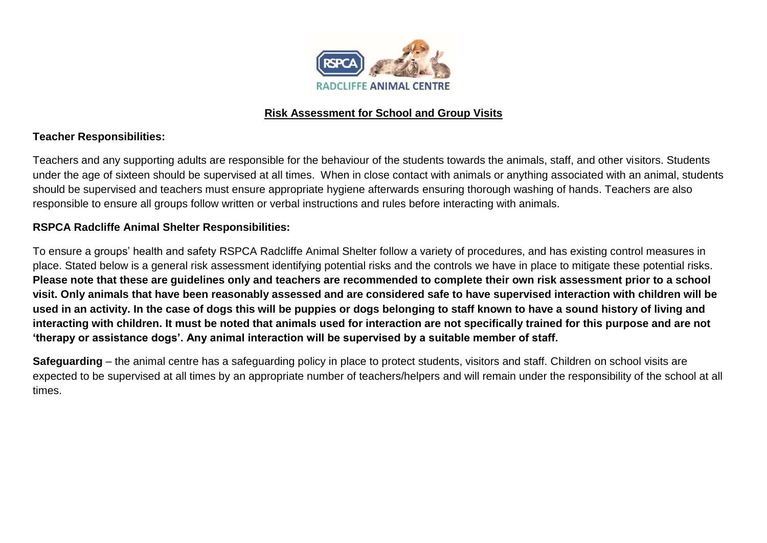

## **Risk Assessment for School and Group Visits**

## **Teacher Responsibilities:**

Teachers and any supporting adults are responsible for the behaviour of the students towards the animals, staff, and other visitors. Students under the age of sixteen should be supervised at all times. When in close contact with animals or anything associated with an animal, students should be supervised and teachers must ensure appropriate hygiene afterwards ensuring thorough washing of hands. Teachers are also responsible to ensure all groups follow written or verbal instructions and rules before interacting with animals.

## **RSPCA Radcliffe Animal Shelter Responsibilities:**

To ensure a groups' health and safety RSPCA Radcliffe Animal Shelter follow a variety of procedures, and has existing control measures in place. Stated below is a general risk assessment identifying potential risks and the controls we have in place to mitigate these potential risks. **Please note that these are guidelines only and teachers are recommended to complete their own risk assessment prior to a school visit. Only animals that have been reasonably assessed and are considered safe to have supervised interaction with children will be used in an activity. In the case of dogs this will be puppies or dogs belonging to staff known to have a sound history of living and interacting with children. It must be noted that animals used for interaction are not specifically trained for this purpose and are not 'therapy or assistance dogs'. Any animal interaction will be supervised by a suitable member of staff.** 

**Safeguarding** – the animal centre has a safeguarding policy in place to protect students, visitors and staff. Children on school visits are expected to be supervised at all times by an appropriate number of teachers/helpers and will remain under the responsibility of the school at all times.